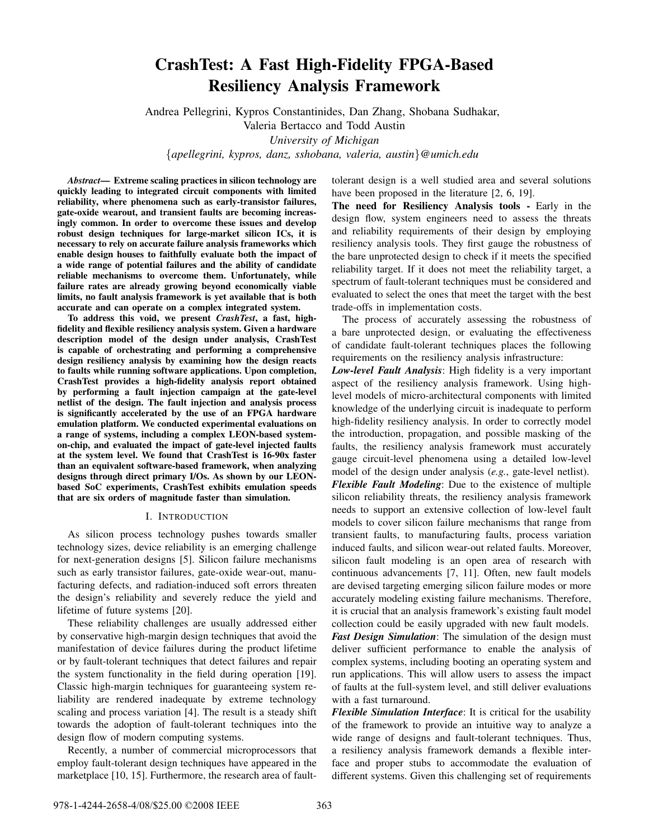# CrashTest: A Fast High-Fidelity FPGA-Based Resiliency Analysis Framework

Andrea Pellegrini, Kypros Constantinides, Dan Zhang, Shobana Sudhakar,

Valeria Bertacco and Todd Austin

*University of Michigan*

{*apellegrini, kypros, danz, sshobana, valeria, austin*}*@umich.edu*

*Abstract*— Extreme scaling practices in silicon technology are quickly leading to integrated circuit components with limited reliability, where phenomena such as early-transistor failures, gate-oxide wearout, and transient faults are becoming increasingly common. In order to overcome these issues and develop robust design techniques for large-market silicon ICs, it is necessary to rely on accurate failure analysis frameworks which enable design houses to faithfully evaluate both the impact of a wide range of potential failures and the ability of candidate reliable mechanisms to overcome them. Unfortunately, while failure rates are already growing beyond economically viable limits, no fault analysis framework is yet available that is both accurate and can operate on a complex integrated system.

To address this void, we present *CrashTest*, a fast, highfidelity and flexible resiliency analysis system. Given a hardware description model of the design under analysis, CrashTest is capable of orchestrating and performing a comprehensive design resiliency analysis by examining how the design reacts to faults while running software applications. Upon completion, CrashTest provides a high-fidelity analysis report obtained by performing a fault injection campaign at the gate-level netlist of the design. The fault injection and analysis process is significantly accelerated by the use of an FPGA hardware emulation platform. We conducted experimental evaluations on a range of systems, including a complex LEON-based systemon-chip, and evaluated the impact of gate-level injected faults at the system level. We found that CrashTest is 16-90x faster than an equivalent software-based framework, when analyzing designs through direct primary I/Os. As shown by our LEONbased SoC experiments, CrashTest exhibits emulation speeds that are six orders of magnitude faster than simulation.

## I. INTRODUCTION

As silicon process technology pushes towards smaller technology sizes, device reliability is an emerging challenge for next-generation designs [5]. Silicon failure mechanisms such as early transistor failures, gate-oxide wear-out, manufacturing defects, and radiation-induced soft errors threaten the design's reliability and severely reduce the yield and lifetime of future systems [20].

These reliability challenges are usually addressed either by conservative high-margin design techniques that avoid the manifestation of device failures during the product lifetime or by fault-tolerant techniques that detect failures and repair the system functionality in the field during operation [19]. Classic high-margin techniques for guaranteeing system reliability are rendered inadequate by extreme technology scaling and process variation [4]. The result is a steady shift towards the adoption of fault-tolerant techniques into the design flow of modern computing systems.

Recently, a number of commercial microprocessors that employ fault-tolerant design techniques have appeared in the marketplace [10, 15]. Furthermore, the research area of faulttolerant design is a well studied area and several solutions have been proposed in the literature [2, 6, 19].

The need for Resiliency Analysis tools - Early in the design flow, system engineers need to assess the threats and reliability requirements of their design by employing resiliency analysis tools. They first gauge the robustness of the bare unprotected design to check if it meets the specified reliability target. If it does not meet the reliability target, a spectrum of fault-tolerant techniques must be considered and evaluated to select the ones that meet the target with the best trade-offs in implementation costs.

The process of accurately assessing the robustness of a bare unprotected design, or evaluating the effectiveness of candidate fault-tolerant techniques places the following requirements on the resiliency analysis infrastructure:

*Low-level Fault Analysis*: High fidelity is a very important aspect of the resiliency analysis framework. Using highlevel models of micro-architectural components with limited knowledge of the underlying circuit is inadequate to perform high-fidelity resiliency analysis. In order to correctly model the introduction, propagation, and possible masking of the faults, the resiliency analysis framework must accurately gauge circuit-level phenomena using a detailed low-level model of the design under analysis (*e.g.*, gate-level netlist). *Flexible Fault Modeling*: Due to the existence of multiple silicon reliability threats, the resiliency analysis framework needs to support an extensive collection of low-level fault models to cover silicon failure mechanisms that range from transient faults, to manufacturing faults, process variation induced faults, and silicon wear-out related faults. Moreover, silicon fault modeling is an open area of research with continuous advancements [7, 11]. Often, new fault models are devised targeting emerging silicon failure modes or more accurately modeling existing failure mechanisms. Therefore, it is crucial that an analysis framework's existing fault model collection could be easily upgraded with new fault models. *Fast Design Simulation*: The simulation of the design must deliver sufficient performance to enable the analysis of complex systems, including booting an operating system and run applications. This will allow users to assess the impact of faults at the full-system level, and still deliver evaluations

# with a fast turnaround.

*Flexible Simulation Interface*: It is critical for the usability of the framework to provide an intuitive way to analyze a wide range of designs and fault-tolerant techniques. Thus, a resiliency analysis framework demands a flexible interface and proper stubs to accommodate the evaluation of different systems. Given this challenging set of requirements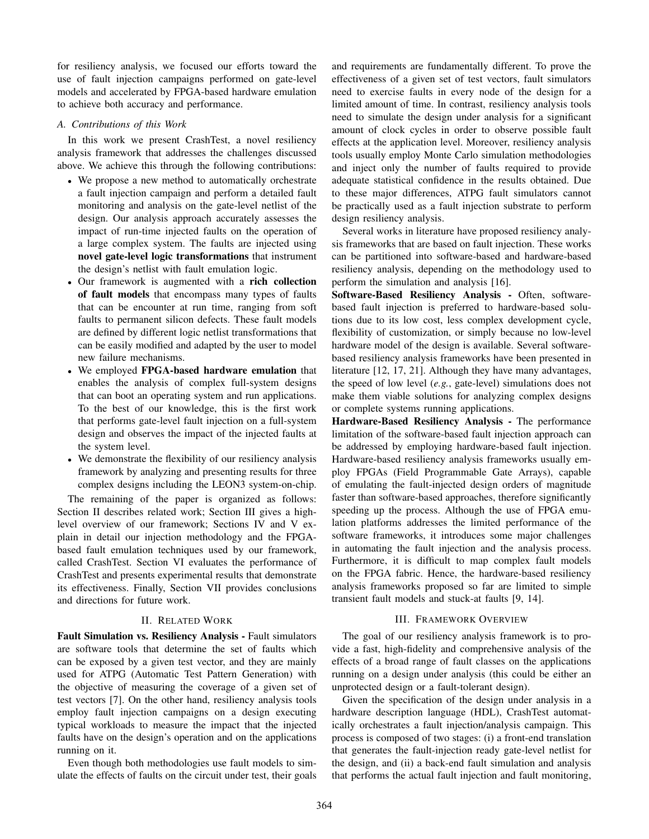for resiliency analysis, we focused our efforts toward the use of fault injection campaigns performed on gate-level models and accelerated by FPGA-based hardware emulation to achieve both accuracy and performance.

## *A. Contributions of this Work*

In this work we present CrashTest, a novel resiliency analysis framework that addresses the challenges discussed above. We achieve this through the following contributions:

- We propose a new method to automatically orchestrate a fault injection campaign and perform a detailed fault monitoring and analysis on the gate-level netlist of the design. Our analysis approach accurately assesses the impact of run-time injected faults on the operation of a large complex system. The faults are injected using novel gate-level logic transformations that instrument the design's netlist with fault emulation logic.
- Our framework is augmented with a rich collection of fault models that encompass many types of faults that can be encounter at run time, ranging from soft faults to permanent silicon defects. These fault models are defined by different logic netlist transformations that can be easily modified and adapted by the user to model new failure mechanisms.
- We employed FPGA-based hardware emulation that enables the analysis of complex full-system designs that can boot an operating system and run applications. To the best of our knowledge, this is the first work that performs gate-level fault injection on a full-system design and observes the impact of the injected faults at the system level.
- We demonstrate the flexibility of our resiliency analysis framework by analyzing and presenting results for three complex designs including the LEON3 system-on-chip.

The remaining of the paper is organized as follows: Section II describes related work; Section III gives a highlevel overview of our framework; Sections IV and V explain in detail our injection methodology and the FPGAbased fault emulation techniques used by our framework, called CrashTest. Section VI evaluates the performance of CrashTest and presents experimental results that demonstrate its effectiveness. Finally, Section VII provides conclusions and directions for future work.

## II. RELATED WORK

Fault Simulation vs. Resiliency Analysis - Fault simulators are software tools that determine the set of faults which can be exposed by a given test vector, and they are mainly used for ATPG (Automatic Test Pattern Generation) with the objective of measuring the coverage of a given set of test vectors [7]. On the other hand, resiliency analysis tools employ fault injection campaigns on a design executing typical workloads to measure the impact that the injected faults have on the design's operation and on the applications running on it.

Even though both methodologies use fault models to simulate the effects of faults on the circuit under test, their goals and requirements are fundamentally different. To prove the effectiveness of a given set of test vectors, fault simulators need to exercise faults in every node of the design for a limited amount of time. In contrast, resiliency analysis tools need to simulate the design under analysis for a significant amount of clock cycles in order to observe possible fault effects at the application level. Moreover, resiliency analysis tools usually employ Monte Carlo simulation methodologies and inject only the number of faults required to provide adequate statistical confidence in the results obtained. Due to these major differences, ATPG fault simulators cannot be practically used as a fault injection substrate to perform design resiliency analysis.

Several works in literature have proposed resiliency analysis frameworks that are based on fault injection. These works can be partitioned into software-based and hardware-based resiliency analysis, depending on the methodology used to perform the simulation and analysis [16].

Software-Based Resiliency Analysis - Often, softwarebased fault injection is preferred to hardware-based solutions due to its low cost, less complex development cycle, flexibility of customization, or simply because no low-level hardware model of the design is available. Several softwarebased resiliency analysis frameworks have been presented in literature [12, 17, 21]. Although they have many advantages, the speed of low level (*e.g.*, gate-level) simulations does not make them viable solutions for analyzing complex designs or complete systems running applications.

Hardware-Based Resiliency Analysis - The performance limitation of the software-based fault injection approach can be addressed by employing hardware-based fault injection. Hardware-based resiliency analysis frameworks usually employ FPGAs (Field Programmable Gate Arrays), capable of emulating the fault-injected design orders of magnitude faster than software-based approaches, therefore significantly speeding up the process. Although the use of FPGA emulation platforms addresses the limited performance of the software frameworks, it introduces some major challenges in automating the fault injection and the analysis process. Furthermore, it is difficult to map complex fault models on the FPGA fabric. Hence, the hardware-based resiliency analysis frameworks proposed so far are limited to simple transient fault models and stuck-at faults [9, 14].

## III. FRAMEWORK OVERVIEW

The goal of our resiliency analysis framework is to provide a fast, high-fidelity and comprehensive analysis of the effects of a broad range of fault classes on the applications running on a design under analysis (this could be either an unprotected design or a fault-tolerant design).

Given the specification of the design under analysis in a hardware description language (HDL), CrashTest automatically orchestrates a fault injection/analysis campaign. This process is composed of two stages: (i) a front-end translation that generates the fault-injection ready gate-level netlist for the design, and (ii) a back-end fault simulation and analysis that performs the actual fault injection and fault monitoring,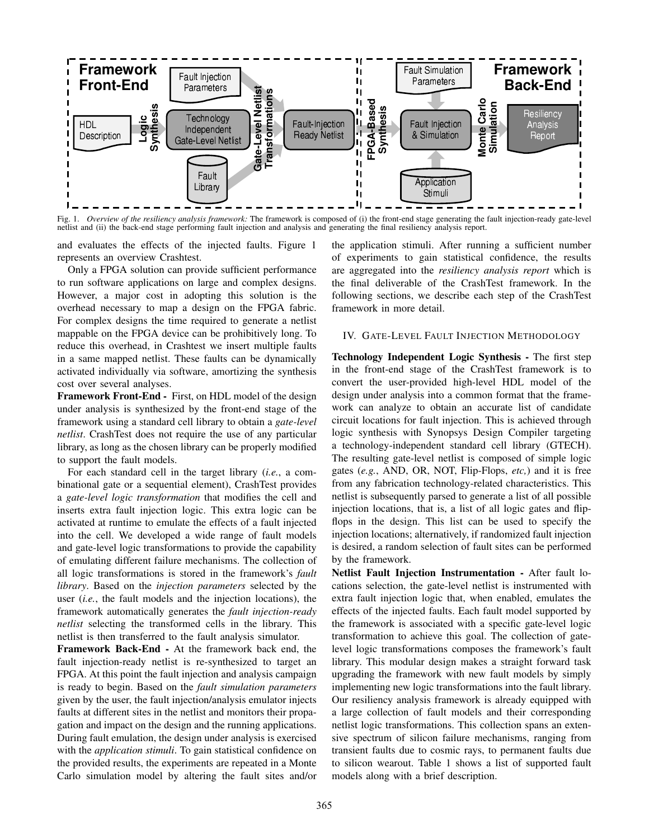

Fig. 1. *Overview of the resiliency analysis framework:* The framework is composed of (i) the front-end stage generating the fault injection-ready gate-level netlist and (ii) the back-end stage performing fault injection and analysis and generating the final resiliency analysis report.

and evaluates the effects of the injected faults. Figure 1 represents an overview Crashtest.

Only a FPGA solution can provide sufficient performance to run software applications on large and complex designs. However, a major cost in adopting this solution is the overhead necessary to map a design on the FPGA fabric. For complex designs the time required to generate a netlist mappable on the FPGA device can be prohibitively long. To reduce this overhead, in Crashtest we insert multiple faults in a same mapped netlist. These faults can be dynamically activated individually via software, amortizing the synthesis cost over several analyses.

Framework Front-End - First, on HDL model of the design under analysis is synthesized by the front-end stage of the framework using a standard cell library to obtain a *gate-level netlist*. CrashTest does not require the use of any particular library, as long as the chosen library can be properly modified to support the fault models.

For each standard cell in the target library (*i.e.*, a combinational gate or a sequential element), CrashTest provides a *gate-level logic transformation* that modifies the cell and inserts extra fault injection logic. This extra logic can be activated at runtime to emulate the effects of a fault injected into the cell. We developed a wide range of fault models and gate-level logic transformations to provide the capability of emulating different failure mechanisms. The collection of all logic transformations is stored in the framework's *fault library*. Based on the *injection parameters* selected by the user (*i.e.*, the fault models and the injection locations), the framework automatically generates the *fault injection-ready netlist* selecting the transformed cells in the library. This netlist is then transferred to the fault analysis simulator.

Framework Back-End - At the framework back end, the fault injection-ready netlist is re-synthesized to target an FPGA. At this point the fault injection and analysis campaign is ready to begin. Based on the *fault simulation parameters* given by the user, the fault injection/analysis emulator injects faults at different sites in the netlist and monitors their propagation and impact on the design and the running applications. During fault emulation, the design under analysis is exercised with the *application stimuli*. To gain statistical confidence on the provided results, the experiments are repeated in a Monte Carlo simulation model by altering the fault sites and/or

the application stimuli. After running a sufficient number of experiments to gain statistical confidence, the results are aggregated into the *resiliency analysis report* which is the final deliverable of the CrashTest framework. In the following sections, we describe each step of the CrashTest framework in more detail.

## IV. GATE-LEVEL FAULT INJECTION METHODOLOGY

Technology Independent Logic Synthesis - The first step in the front-end stage of the CrashTest framework is to convert the user-provided high-level HDL model of the design under analysis into a common format that the framework can analyze to obtain an accurate list of candidate circuit locations for fault injection. This is achieved through logic synthesis with Synopsys Design Compiler targeting a technology-independent standard cell library (GTECH). The resulting gate-level netlist is composed of simple logic gates (*e.g.*, AND, OR, NOT, Flip-Flops, *etc,*) and it is free from any fabrication technology-related characteristics. This netlist is subsequently parsed to generate a list of all possible injection locations, that is, a list of all logic gates and flipflops in the design. This list can be used to specify the injection locations; alternatively, if randomized fault injection is desired, a random selection of fault sites can be performed by the framework.

Netlist Fault Injection Instrumentation - After fault locations selection, the gate-level netlist is instrumented with extra fault injection logic that, when enabled, emulates the effects of the injected faults. Each fault model supported by the framework is associated with a specific gate-level logic transformation to achieve this goal. The collection of gatelevel logic transformations composes the framework's fault library. This modular design makes a straight forward task upgrading the framework with new fault models by simply implementing new logic transformations into the fault library. Our resiliency analysis framework is already equipped with a large collection of fault models and their corresponding netlist logic transformations. This collection spans an extensive spectrum of silicon failure mechanisms, ranging from transient faults due to cosmic rays, to permanent faults due to silicon wearout. Table 1 shows a list of supported fault models along with a brief description.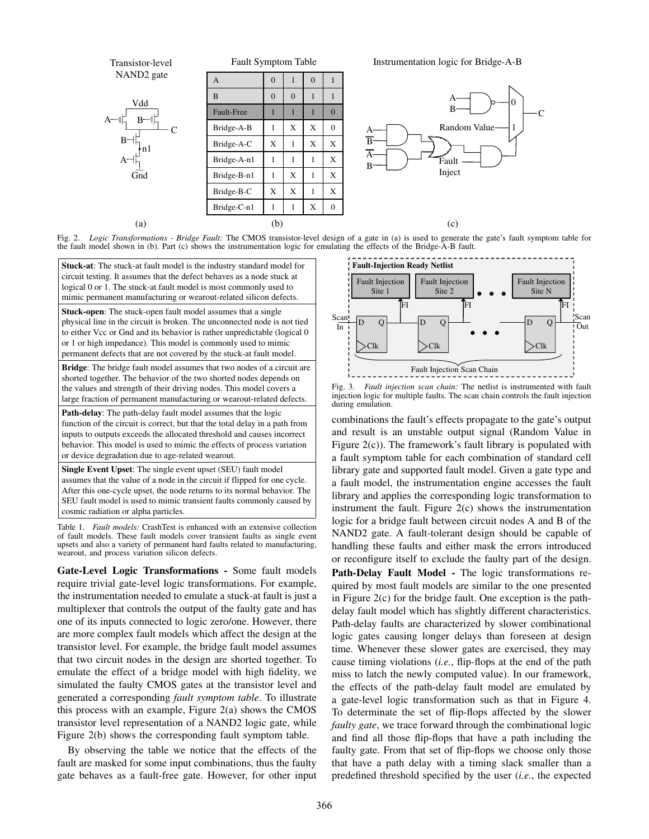

Fig. 2. *Logic Transformations - Bridge Fault:* The CMOS transistor-level design of a gate in (a) is used to generate the gate's fault symptom table for the fault model shown in (b). Part (c) shows the instrumentation logic for emulating the effects of the Bridge-A-B fault.

**Stuck-at**: The stuck-at fault model is the industry standard model for circuit testing. It assumes that the defect behaves as a node stuck at logical 0 or 1. The stuck-at fault model is most commonly used to mimic permanent manufacturing or wearout-related silicon defects.

**Stuck-open**: The stuck-open fault model assumes that a single physical line in the circuit is broken. The unconnected node is not tied to either Vcc or Gnd and its behavior is rather unpredictable (logical 0 or 1 or high impedance). This model is commonly used to mimic permanent defects that are not covered by the stuck-at fault model.

**Bridge**: The bridge fault model assumes that two nodes of a circuit are shorted together. The behavior of the two shorted nodes depends on the values and strength of their driving nodes. This model covers a large fraction of permanent manufacturing or wearout-related defects.

**Path-delay**: The path-delay fault model assumes that the logic function of the circuit is correct, but that the total delay in a path from inputs to outputs exceeds the allocated threshold and causes incorrect behavior. This model is used to mimic the effects of process variation or device degradation due to age-related wearout.

**Single Event Upset**: The single event upset (SEU) fault model assumes that the value of a node in the circuit if flipped for one cycle. After this one-cycle upset, the node returns to its normal behavior. The SEU fault model is used to mimic transient faults commonly caused by cosmic radiation or alpha particles.

Gate-Level Logic Transformations - Some fault models require trivial gate-level logic transformations. For example, the instrumentation needed to emulate a stuck-at fault is just a multiplexer that controls the output of the faulty gate and has one of its inputs connected to logic zero/one. However, there are more complex fault models which affect the design at the transistor level. For example, the bridge fault model assumes that two circuit nodes in the design are shorted together. To emulate the effect of a bridge model with high fidelity, we simulated the faulty CMOS gates at the transistor level and generated a corresponding *fault symptom table*. To illustrate this process with an example, Figure 2(a) shows the CMOS transistor level representation of a NAND2 logic gate, while Figure 2(b) shows the corresponding fault symptom table.

By observing the table we notice that the effects of the fault are masked for some input combinations, thus the faulty gate behaves as a fault-free gate. However, for other input



Fig. 3. *Fault injection scan chain:* The netlist is instrumented with fault injection logic for multiple faults. The scan chain controls the fault injection during emulation.

combinations the fault's effects propagate to the gate's output and result is an unstable output signal (Random Value in Figure 2(c)). The framework's fault library is populated with a fault symptom table for each combination of standard cell library gate and supported fault model. Given a gate type and a fault model, the instrumentation engine accesses the fault library and applies the corresponding logic transformation to instrument the fault. Figure 2(c) shows the instrumentation logic for a bridge fault between circuit nodes A and B of the NAND2 gate. A fault-tolerant design should be capable of handling these faults and either mask the errors introduced or reconfigure itself to exclude the faulty part of the design.

Path-Delay Fault Model - The logic transformations required by most fault models are similar to the one presented in Figure 2(c) for the bridge fault. One exception is the pathdelay fault model which has slightly different characteristics. Path-delay faults are characterized by slower combinational logic gates causing longer delays than foreseen at design time. Whenever these slower gates are exercised, they may cause timing violations (*i.e.*, flip-flops at the end of the path miss to latch the newly computed value). In our framework, the effects of the path-delay fault model are emulated by a gate-level logic transformation such as that in Figure 4. To determinate the set of flip-flops affected by the slower *faulty gate*, we trace forward through the combinational logic and find all those flip-flops that have a path including the faulty gate. From that set of flip-flops we choose only those that have a path delay with a timing slack smaller than a predefined threshold specified by the user (*i.e.*, the expected

Table 1. *Fault models:* CrashTest is enhanced with an extensive collection of fault models. These fault models cover transient faults as single event upsets and also a variety of permanent hard faults related to manufacturing, wearout, and process variation silicon defects.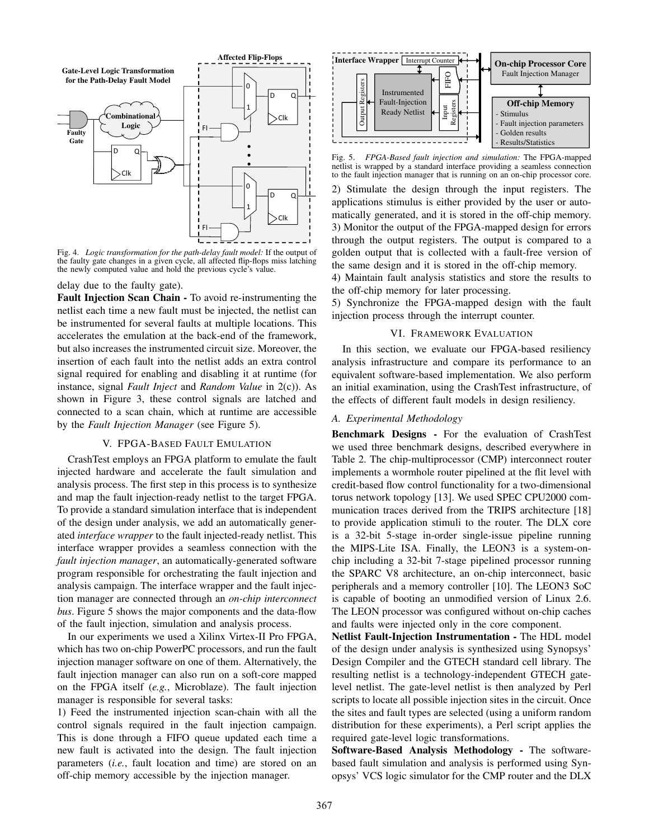

Fig. 4. *Logic transformation for the path-delay fault model:* If the output of the faulty gate changes in a given cycle, all affected flip-flops miss latching the newly computed value and hold the previous cycle's value.

## delay due to the faulty gate).

Fault Injection Scan Chain - To avoid re-instrumenting the netlist each time a new fault must be injected, the netlist can be instrumented for several faults at multiple locations. This accelerates the emulation at the back-end of the framework, but also increases the instrumented circuit size. Moreover, the insertion of each fault into the netlist adds an extra control signal required for enabling and disabling it at runtime (for instance, signal *Fault Inject* and *Random Value* in 2(c)). As shown in Figure 3, these control signals are latched and connected to a scan chain, which at runtime are accessible by the *Fault Injection Manager* (see Figure 5).

#### V. FPGA-BASED FAULT EMULATION

CrashTest employs an FPGA platform to emulate the fault injected hardware and accelerate the fault simulation and analysis process. The first step in this process is to synthesize and map the fault injection-ready netlist to the target FPGA. To provide a standard simulation interface that is independent of the design under analysis, we add an automatically generated *interface wrapper* to the fault injected-ready netlist. This interface wrapper provides a seamless connection with the *fault injection manager*, an automatically-generated software program responsible for orchestrating the fault injection and analysis campaign. The interface wrapper and the fault injection manager are connected through an *on-chip interconnect bus*. Figure 5 shows the major components and the data-flow of the fault injection, simulation and analysis process.

In our experiments we used a Xilinx Virtex-II Pro FPGA, which has two on-chip PowerPC processors, and run the fault injection manager software on one of them. Alternatively, the fault injection manager can also run on a soft-core mapped on the FPGA itself (*e.g.*, Microblaze). The fault injection manager is responsible for several tasks:

1) Feed the instrumented injection scan-chain with all the control signals required in the fault injection campaign. This is done through a FIFO queue updated each time a new fault is activated into the design. The fault injection parameters (*i.e.*, fault location and time) are stored on an off-chip memory accessible by the injection manager.



Fig. 5. *FPGA-Based fault injection and simulation:* The FPGA-mapped netlist is wrapped by a standard interface providing a seamless connection to the fault injection manager that is running on an on-chip processor core.

2) Stimulate the design through the input registers. The applications stimulus is either provided by the user or automatically generated, and it is stored in the off-chip memory. 3) Monitor the output of the FPGA-mapped design for errors through the output registers. The output is compared to a golden output that is collected with a fault-free version of the same design and it is stored in the off-chip memory.

4) Maintain fault analysis statistics and store the results to the off-chip memory for later processing.

5) Synchronize the FPGA-mapped design with the fault injection process through the interrupt counter.

## VI. FRAMEWORK EVALUATION

In this section, we evaluate our FPGA-based resiliency analysis infrastructure and compare its performance to an equivalent software-based implementation. We also perform an initial examination, using the CrashTest infrastructure, of the effects of different fault models in design resiliency.

## *A. Experimental Methodology*

Benchmark Designs - For the evaluation of CrashTest we used three benchmark designs, described everywhere in Table 2. The chip-multiprocessor (CMP) interconnect router implements a wormhole router pipelined at the flit level with credit-based flow control functionality for a two-dimensional torus network topology [13]. We used SPEC CPU2000 communication traces derived from the TRIPS architecture [18] to provide application stimuli to the router. The DLX core is a 32-bit 5-stage in-order single-issue pipeline running the MIPS-Lite ISA. Finally, the LEON3 is a system-onchip including a 32-bit 7-stage pipelined processor running the SPARC V8 architecture, an on-chip interconnect, basic peripherals and a memory controller [10]. The LEON3 SoC is capable of booting an unmodified version of Linux 2.6. The LEON processor was configured without on-chip caches and faults were injected only in the core component.

Netlist Fault-Injection Instrumentation - The HDL model of the design under analysis is synthesized using Synopsys' Design Compiler and the GTECH standard cell library. The resulting netlist is a technology-independent GTECH gatelevel netlist. The gate-level netlist is then analyzed by Perl scripts to locate all possible injection sites in the circuit. Once the sites and fault types are selected (using a uniform random distribution for these experiments), a Perl script applies the required gate-level logic transformations.

Software-Based Analysis Methodology - The softwarebased fault simulation and analysis is performed using Synopsys' VCS logic simulator for the CMP router and the DLX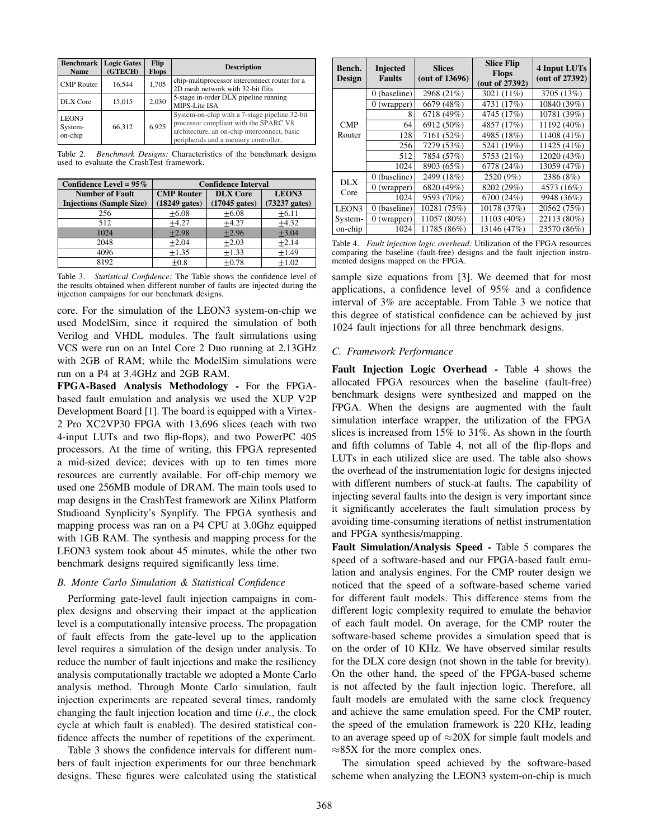| <b>Benchmark</b><br><b>Name</b> | <b>Logic Gates</b><br>(GTECH) | <b>Flip</b><br><b>Flops</b> | <b>Description</b>                                                                                                                                                             |  |  |
|---------------------------------|-------------------------------|-----------------------------|--------------------------------------------------------------------------------------------------------------------------------------------------------------------------------|--|--|
| <b>CMP</b> Router               | 16.544                        | 1,705                       | chip-multiprocessor interconnect router for a<br>2D mesh network with 32-bit flits                                                                                             |  |  |
| DLX Core                        | 15,015                        | 2,030                       | 5-stage in-order DLX pipeline running<br>MIPS-Lite ISA                                                                                                                         |  |  |
| LEON3<br>System-<br>on-chip     | 66.312                        | 6.925                       | System-on-chip with a 7-stage pipeline 32-bit<br>processor compliant with the SPARC V8<br>architecture, an on-chip interconnect, basic<br>peripherals and a memory controller. |  |  |

Table 2. *Benchmark Designs:* Characteristics of the benchmark designs used to evaluate the CrashTest framework.

| Confidence Level = $95\%$       | <b>Confidence Interval</b> |                         |                  |  |
|---------------------------------|----------------------------|-------------------------|------------------|--|
| <b>Number of Fault</b>          | <b>CMP</b> Router          | <b>DLX</b> Core         | LEON3            |  |
| <b>Injections (Sample Size)</b> | $(18249$ gates)            | $(17045 \text{ gates})$ | $(73237)$ gates) |  |
| 256                             | $+6.08$                    | $+6.08$                 | $+6.11$          |  |
| 512                             | $+4.27$                    | $+4.27$                 | $+4.32$          |  |
| 1024                            | $+2.98$                    | $+2.96$                 | $+3.04$          |  |
| 2048                            | $+2.04$                    | $+2.03$                 | $+2.14$          |  |
| 4096                            | $+1.35$                    | $+1.33$                 | $+1.49$          |  |
| 8192                            | $+0.8$                     | $+0.78$                 | $+1.02$          |  |

Table 3. *Statistical Confidence:* The Table shows the confidence level of the results obtained when different number of faults are injected during the injection campaigns for our benchmark designs.

core. For the simulation of the LEON3 system-on-chip we used ModelSim, since it required the simulation of both Verilog and VHDL modules. The fault simulations using VCS were run on an Intel Core 2 Duo running at 2.13GHz with 2GB of RAM; while the ModelSim simulations were run on a P4 at 3.4GHz and 2GB RAM.

FPGA-Based Analysis Methodology - For the FPGAbased fault emulation and analysis we used the XUP V2P Development Board [1]. The board is equipped with a Virtex-2 Pro XC2VP30 FPGA with 13,696 slices (each with two 4-input LUTs and two flip-flops), and two PowerPC 405 processors. At the time of writing, this FPGA represented a mid-sized device; devices with up to ten times more resources are currently available. For off-chip memory we used one 256MB module of DRAM. The main tools used to map designs in the CrashTest framework are Xilinx Platform Studioand Synplicity's Synplify. The FPGA synthesis and mapping process was ran on a P4 CPU at 3.0Ghz equipped with 1GB RAM. The synthesis and mapping process for the LEON3 system took about 45 minutes, while the other two benchmark designs required significantly less time.

## *B. Monte Carlo Simulation & Statistical Confidence*

Performing gate-level fault injection campaigns in complex designs and observing their impact at the application level is a computationally intensive process. The propagation of fault effects from the gate-level up to the application level requires a simulation of the design under analysis. To reduce the number of fault injections and make the resiliency analysis computationally tractable we adopted a Monte Carlo analysis method. Through Monte Carlo simulation, fault injection experiments are repeated several times, randomly changing the fault injection location and time (*i.e.*, the clock cycle at which fault is enabled). The desired statistical confidence affects the number of repetitions of the experiment.

Table 3 shows the confidence intervals for different numbers of fault injection experiments for our three benchmark designs. These figures were calculated using the statistical

| Bench.<br><b>Design</b>     | <b>Injected</b><br><b>Faults</b> | <b>Slices</b><br>(out of 13696) | <b>Slice Flip</b><br><b>Flops</b><br>(out of 27392) | <b>4 Input LUTs</b><br>(out of 27392) |
|-----------------------------|----------------------------------|---------------------------------|-----------------------------------------------------|---------------------------------------|
| CMP<br>Router               | $0$ (baseline)                   | 2968 (21%)                      | 3021 (11%)                                          | 3705 (13%)                            |
|                             | $0$ (wrapper)                    | 6679 (48%)                      | 4731 (17%)                                          | 10840 (39%)                           |
|                             | 8                                | 6718 (49%)                      | 4745 (17%)                                          | 10781 (39%)                           |
|                             | 64                               | 6912 (50%)                      | 4857 (17%)                                          | 11192 (40%)                           |
|                             | 128                              | 7161 (52%)                      | 4985 (18%)                                          | 11408 (41%)                           |
|                             | 256                              | 7279 (53%)                      | 5241 (19%)                                          | 11425 (41%)                           |
|                             | 512                              | 7854 (57%)                      | 5753 (21%)                                          | 12020 (43%)                           |
|                             | 1024                             | 8903 (65%)                      | 6778 (24%)                                          | 13059 (47%)                           |
| DLX<br>Core                 | $0$ (baseline)                   | 2499 (18%)                      | 2520 (9%)                                           | 2386 (8%)                             |
|                             | $0$ (wrapper)                    | 6820 (49%)                      | 8202 (29%)                                          | 4573 (16%)                            |
|                             | 1024                             | 9593 (70%)                      | 6700 (24%)                                          | 9948 (36%)                            |
| LEON3<br>System-<br>on-chip | 0 (baseline)                     | 10281 (75%)                     | 10178 (37%)                                         | 20562 (75%)                           |
|                             | $0$ (wrapper)                    | 11057 (80%)                     | 11103 (40%)                                         | 22113 (80%)                           |
|                             | 1024                             | 11785 (86%)                     | 13146 (47%)                                         | 23570 (86%)                           |

Table 4. *Fault injection logic overhead:* Utilization of the FPGA resources comparing the baseline (fault-free) designs and the fault injection instrumented designs mapped on the FPGA.

sample size equations from [3]. We deemed that for most applications, a confidence level of 95% and a confidence interval of 3% are acceptable. From Table 3 we notice that this degree of statistical confidence can be achieved by just 1024 fault injections for all three benchmark designs.

## *C. Framework Performance*

Fault Injection Logic Overhead - Table 4 shows the allocated FPGA resources when the baseline (fault-free) benchmark designs were synthesized and mapped on the FPGA. When the designs are augmented with the fault simulation interface wrapper, the utilization of the FPGA slices is increased from 15% to 31%. As shown in the fourth and fifth columns of Table 4, not all of the flip-flops and LUTs in each utilized slice are used. The table also shows the overhead of the instrumentation logic for designs injected with different numbers of stuck-at faults. The capability of injecting several faults into the design is very important since it significantly accelerates the fault simulation process by avoiding time-consuming iterations of netlist instrumentation and FPGA synthesis/mapping.

Fault Simulation/Analysis Speed - Table 5 compares the speed of a software-based and our FPGA-based fault emulation and analysis engines. For the CMP router design we noticed that the speed of a software-based scheme varied for different fault models. This difference stems from the different logic complexity required to emulate the behavior of each fault model. On average, for the CMP router the software-based scheme provides a simulation speed that is on the order of 10 KHz. We have observed similar results for the DLX core design (not shown in the table for brevity). On the other hand, the speed of the FPGA-based scheme is not affected by the fault injection logic. Therefore, all fault models are emulated with the same clock frequency and achieve the same emulation speed. For the CMP router, the speed of the emulation framework is 220 KHz, leading to an average speed up of  $\approx 20X$  for simple fault models and ≈85X for the more complex ones.

The simulation speed achieved by the software-based scheme when analyzing the LEON3 system-on-chip is much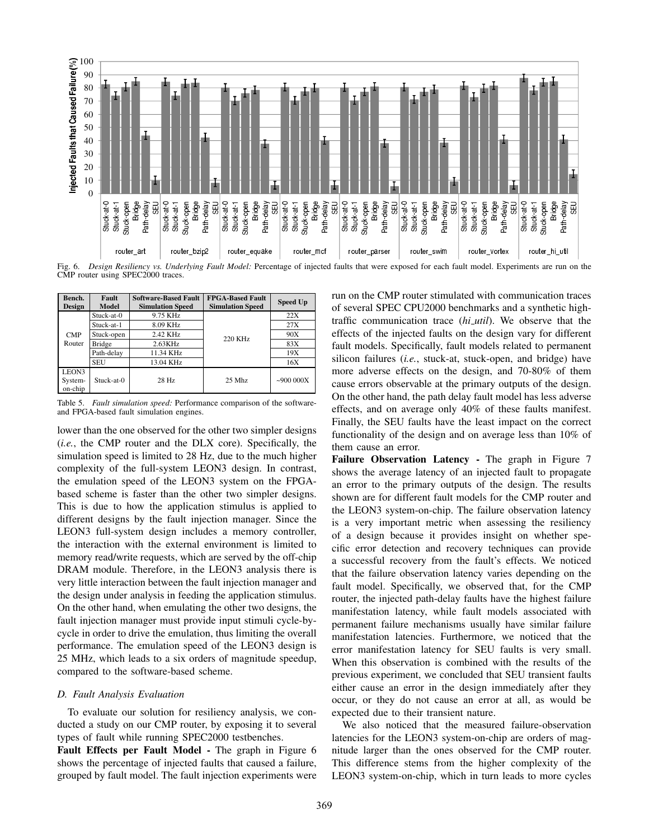

Fig. 6. *Design Resiliency vs. Underlying Fault Model:* Percentage of injected faults that were exposed for each fault model. Experiments are run on the CMP router using SPEC2000 traces.

| Bench.<br><b>Design</b>     | <b>Fault</b><br>Model | <b>Software-Based Fault</b><br><b>Simulation Speed</b> | <b>FPGA-Based Fault</b><br><b>Simulation Speed</b> | Speed Up |
|-----------------------------|-----------------------|--------------------------------------------------------|----------------------------------------------------|----------|
| CMP<br>Router               | Stuck-at-0            | 9.75 KHz                                               |                                                    | 22X      |
|                             | Stuck-at-1            | 8.09 KHz                                               |                                                    | 27X      |
|                             | Stuck-open            | 2.42 KHz                                               | 220 KHz                                            | 90X      |
|                             | Bridge                | 2.63KHz                                                |                                                    | 83X      |
|                             | Path-delay            | 11.34 KHz                                              |                                                    | 19X      |
|                             | <b>SEU</b>            | 13.04 KHz                                              |                                                    | 16X      |
| LEON3<br>System-<br>on-chip | Stuck-at-0            | 28 Hz                                                  | $25$ Mhz                                           | ~1000000 |

Table 5. *Fault simulation speed:* Performance comparison of the softwareand FPGA-based fault simulation engines.

lower than the one observed for the other two simpler designs (*i.e.*, the CMP router and the DLX core). Specifically, the simulation speed is limited to 28 Hz, due to the much higher complexity of the full-system LEON3 design. In contrast, the emulation speed of the LEON3 system on the FPGAbased scheme is faster than the other two simpler designs. This is due to how the application stimulus is applied to different designs by the fault injection manager. Since the LEON3 full-system design includes a memory controller, the interaction with the external environment is limited to memory read/write requests, which are served by the off-chip DRAM module. Therefore, in the LEON3 analysis there is very little interaction between the fault injection manager and the design under analysis in feeding the application stimulus. On the other hand, when emulating the other two designs, the fault injection manager must provide input stimuli cycle-bycycle in order to drive the emulation, thus limiting the overall performance. The emulation speed of the LEON3 design is 25 MHz, which leads to a six orders of magnitude speedup, compared to the software-based scheme.

## *D. Fault Analysis Evaluation*

To evaluate our solution for resiliency analysis, we conducted a study on our CMP router, by exposing it to several types of fault while running SPEC2000 testbenches.

Fault Effects per Fault Model - The graph in Figure 6 shows the percentage of injected faults that caused a failure, grouped by fault model. The fault injection experiments were

run on the CMP router stimulated with communication traces of several SPEC CPU2000 benchmarks and a synthetic hightraffic communication trace (*hi util*). We observe that the effects of the injected faults on the design vary for different fault models. Specifically, fault models related to permanent silicon failures (*i.e.*, stuck-at, stuck-open, and bridge) have more adverse effects on the design, and 70-80% of them cause errors observable at the primary outputs of the design. On the other hand, the path delay fault model has less adverse effects, and on average only 40% of these faults manifest. Finally, the SEU faults have the least impact on the correct functionality of the design and on average less than 10% of them cause an error.

Failure Observation Latency - The graph in Figure 7 shows the average latency of an injected fault to propagate an error to the primary outputs of the design. The results shown are for different fault models for the CMP router and the LEON3 system-on-chip. The failure observation latency is a very important metric when assessing the resiliency of a design because it provides insight on whether specific error detection and recovery techniques can provide a successful recovery from the fault's effects. We noticed that the failure observation latency varies depending on the fault model. Specifically, we observed that, for the CMP router, the injected path-delay faults have the highest failure manifestation latency, while fault models associated with permanent failure mechanisms usually have similar failure manifestation latencies. Furthermore, we noticed that the error manifestation latency for SEU faults is very small. When this observation is combined with the results of the previous experiment, we concluded that SEU transient faults either cause an error in the design immediately after they occur, or they do not cause an error at all, as would be expected due to their transient nature.

We also noticed that the measured failure-observation latencies for the LEON3 system-on-chip are orders of magnitude larger than the ones observed for the CMP router. This difference stems from the higher complexity of the LEON3 system-on-chip, which in turn leads to more cycles